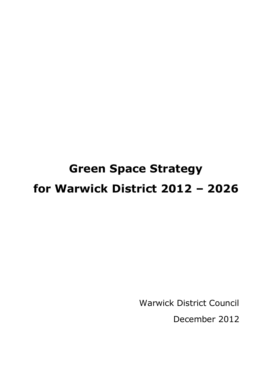# **Green Space Strategy for Warwick District 2012 – 2026**

Warwick District Council

December 2012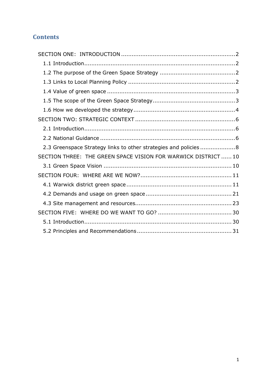# **Contents**

| 2.3 Greenspace Strategy links to other strategies and policies  8 |  |
|-------------------------------------------------------------------|--|
| SECTION THREE: THE GREEN SPACE VISION FOR WARWICK DISTRICT  10    |  |
|                                                                   |  |
|                                                                   |  |
|                                                                   |  |
|                                                                   |  |
|                                                                   |  |
|                                                                   |  |
|                                                                   |  |
|                                                                   |  |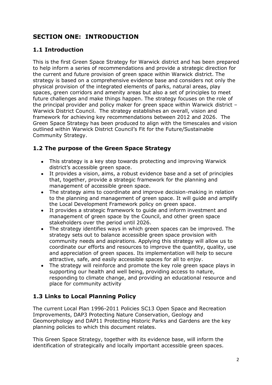# <span id="page-2-0"></span>**SECTION ONE: INTRODUCTION**

# <span id="page-2-1"></span>**1.1 Introduction**

This is the first Green Space Strategy for Warwick district and has been prepared to help inform a series of recommendations and provide a strategic direction for the current and future provision of green space within Warwick district. The strategy is based on a comprehensive evidence base and considers not only the physical provision of the integrated elements of parks, natural areas, play spaces, green corridors and amenity areas but also a set of principles to meet future challenges and make things happen. The strategy focuses on the role of the principal provider and policy maker for green space within Warwick district – Warwick District Council. The strategy establishes an overall, vision and framework for achieving key recommendations between 2012 and 2026. The Green Space Strategy has been produced to align with the timescales and vision outlined within Warwick District Council"s Fit for the Future/Sustainable Community Strategy.

# <span id="page-2-2"></span>**1.2 The purpose of the Green Space Strategy**

- This strategy is a key step towards protecting and improving Warwick district"s accessible green space.
- It provides a vision, aims, a robust evidence base and a set of principles that, together, provide a strategic framework for the planning and management of accessible green space.
- The strategy aims to coordinate and improve decision-making in relation to the planning and management of green space. It will guide and amplify the Local Development Framework policy on green space.
- It provides a strategic framework to guide and inform investment and  $\bullet$ management of green space by the Council, and other green space stakeholders over the period until 2026.
- The strategy identifies ways in which green spaces can be improved. The  $\bullet$ strategy sets out to balance accessible green space provision with community needs and aspirations. Applying this strategy will allow us to coordinate our efforts and resources to improve the quantity, quality, use and appreciation of green spaces. Its implementation will help to secure attractive, safe, and easily accessible spaces for all to enjoy.
- The strategy will reinforce and promote the key role green space plays in supporting our health and well being, providing access to nature, responding to climate change, and providing an educational resource and place for community activity

# <span id="page-2-3"></span>**1.3 Links to Local Planning Policy**

The current Local Plan 1996-2011 Policies SC13 Open Space and Recreation Improvements, DAP3 Protecting Nature Conservation, Geology and Geomorphology and DAP11 Protecting Historic Parks and Gardens are the key planning policies to which this document relates.

This Green Space Strategy, together with its evidence base, will inform the identification of strategically and locally important accessible green spaces.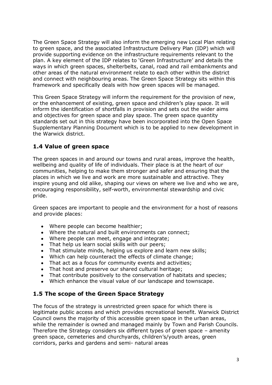The Green Space Strategy will also inform the emerging new Local Plan relating to green space, and the associated Infrastructure Delivery Plan (IDP) which will provide supporting evidence on the infrastructure requirements relevant to the plan. A key element of the IDP relates to "Green Infrastructure" and details the ways in which green spaces, shelterbelts, canal, road and rail embankments and other areas of the natural environment relate to each other within the district and connect with neighbouring areas. The Green Space Strategy sits within this framework and specifically deals with how green spaces will be managed.

This Green Space Strategy will inform the requirement for the provision of new, or the enhancement of existing, green space and children"s play space. It will inform the identification of shortfalls in provision and sets out the wider aims and objectives for green space and play space. The green space quantity standards set out in this strategy have been incorporated into the Open Space Supplementary Planning Document which is to be applied to new development in the Warwick district.

## <span id="page-3-0"></span>**1.4 Value of green space**

The green spaces in and around our towns and rural areas, improve the health, wellbeing and quality of life of individuals. Their place is at the heart of our communities, helping to make them stronger and safer and ensuring that the places in which we live and work are more sustainable and attractive. They inspire young and old alike, shaping our views on where we live and who we are, encouraging responsibility, self-worth, environmental stewardship and civic pride.

Green spaces are important to people and the environment for a host of reasons and provide places:

- Where people can become healthier;
- Where the natural and built environments can connect;
- Where people can meet, engage and integrate;
- That help us learn social skills with our peers;
- That stimulate minds, helping us explore and learn new skills;
- Which can help counteract the effects of climate change;
- That act as a focus for community events and activities:
- That host and preserve our shared cultural heritage;
- That contribute positively to the conservation of habitats and species;
- Which enhance the visual value of our landscape and townscape.

## <span id="page-3-1"></span>**1.5 The scope of the Green Space Strategy**

The focus of the strategy is unrestricted green space for which there is legitimate public access and which provides recreational benefit. Warwick District Council owns the majority of this accessible green space in the urban areas, while the remainder is owned and managed mainly by Town and Parish Councils. Therefore the Strategy considers six different types of green space – amenity green space, cemeteries and churchyards, children"s/youth areas, green corridors, parks and gardens and semi- natural areas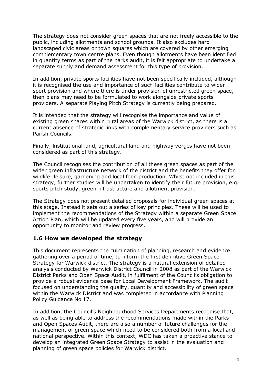The strategy does not consider green spaces that are not freely accessible to the public, including allotments and school grounds. It also excludes hard landscaped civic areas or town squares which are covered by other emerging complementary town centre plans. Even though allotments have been identified in quantity terms as part of the parks audit, it is felt appropriate to undertake a separate supply and demand assessment for this type of provision.

In addition, private sports facilities have not been specifically included, although it is recognised the use and importance of such facilities contribute to wider sport provision and where there is under provision of unrestricted green space, then plans may need to be formulated to work alongside private sports providers. A separate Playing Pitch Strategy is currently being prepared.

It is intended that the strategy will recognise the importance and value of existing green spaces within rural areas of the Warwick district, as there is a current absence of strategic links with complementary service providers such as Parish Councils.

Finally, lnstitutional land, agricultural land and highway verges have not been considered as part of this strategy.

The Council recognises the contribution of all these green spaces as part of the wider green infrastructure network of the district and the benefits they offer for wildlife, leisure, gardening and local food production. Whilst not included in this strategy, further studies will be undertaken to identify their future provision, e.g. sports pitch study, green infrastructure and allotment provision.

The Strategy does not present detailed proposals for individual green spaces at this stage. Instead it sets out a series of key principles. These will be used to implement the recommendations of the Strategy within a separate Green Space Action Plan, which will be updated every five years, and will provide an opportunity to monitor and review progress.

## <span id="page-4-0"></span>**1.6 How we developed the strategy**

This document represents the culmination of planning, research and evidence gathering over a period of time, to inform the first definitive Green Space Strategy for Warwick district. The strategy is a natural extension of detailed analysis conducted by Warwick District Council in 2008 as part of the Warwick District Parks and Open Space Audit, in fulfilment of the Council's obligation to provide a robust evidence base for Local Development Framework. The audit focused on understanding the quality, quantity and accessibility of green space within the Warwick District and was completed in accordance with Planning Policy Guidance No 17.

In addition, the Council"s Neighbourhood Services Departments recognise that, as well as being able to address the recommendations made within the Parks and Open Spaces Audit, there are also a number of future challenges for the management of green space which need to be considered both from a local and national perspective. Within this context, WDC has taken a proactive stance to develop an integrated Green Space Strategy to assist in the evaluation and planning of green space policies for Warwick district.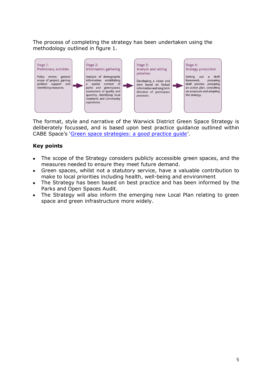The process of completing the strategy has been undertaken using the methodology outlined in figure 1.



The format, style and narrative of the Warwick District Green Space Strategy is deliberately focussed, and is based upon best practice guidance outlined within CABE Space's '[Green space strategies: a good practice guide](http://webarchive.nationalarchives.gov.uk/20110118095356/http:/www.cabe.org.uk/publications/open-space-strategies)'.

## **Key points**

- The scope of the Strategy considers publicly accessible green spaces, and the  $\bullet$ measures needed to ensure they meet future demand.
- Green spaces, whilst not a statutory service, have a valuable contribution to make to local priorities including health, well-being and environment
- The Strategy has been based on best practice and has been informed by the Parks and Open Spaces Audit.
- The Strategy will also inform the emerging new Local Plan relating to green  $\bullet$ space and green infrastructure more widely.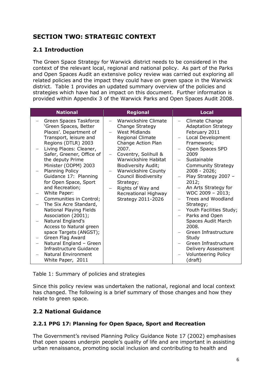# <span id="page-6-0"></span>**SECTION TWO: STRATEGIC CONTEXT**

# <span id="page-6-1"></span>**2.1 Introduction**

The Green Space Strategy for Warwick district needs to be considered in the context of the relevant local, regional and national policy. As part of the Parks and Open Spaces Audit an extensive policy review was carried out exploring all related policies and the impact they could have on green space in the Warwick district. Table 1 provides an updated summary overview of the policies and strategies which have had an impact on this document. Further information is provided within Appendix 3 of the Warwick Parks and Open Spaces Audit 2008.

| <b>National</b>                                                                                                                                                                                                                                                                                                                                                                                                                                                                                                                                                                                                                                             | <b>Regional</b>                                                                                                                                                                                                                                                                                                                                             | <b>Local</b>                                                                                                                                                                                                                                                                                                                                                                                                                                                                                                                                                         |
|-------------------------------------------------------------------------------------------------------------------------------------------------------------------------------------------------------------------------------------------------------------------------------------------------------------------------------------------------------------------------------------------------------------------------------------------------------------------------------------------------------------------------------------------------------------------------------------------------------------------------------------------------------------|-------------------------------------------------------------------------------------------------------------------------------------------------------------------------------------------------------------------------------------------------------------------------------------------------------------------------------------------------------------|----------------------------------------------------------------------------------------------------------------------------------------------------------------------------------------------------------------------------------------------------------------------------------------------------------------------------------------------------------------------------------------------------------------------------------------------------------------------------------------------------------------------------------------------------------------------|
| Green Spaces Taskforce<br>'Green Spaces, Better<br>Places'. Department of<br>Transport, leisure and<br>Regions (DTLR) 2003<br>Living Places: Cleaner,<br>Safer, Greener, Office of<br>the deputy Prime<br>Minister (ODPM) 2003<br><b>Planning Policy</b><br>Guidance 17: Planning<br>for Open Space, Sport<br>and Recreation;<br>White Paper:<br>Communities in Control;<br>The Six Acre Standard,<br>National Playing Fields<br>Association (2001);<br>Natural England's<br>Access to Natural green<br>space Targets (ANGST);<br>Green Flag Award<br>Natural England - Green<br>Infrastructure Guidance<br><b>Natural Environment</b><br>White Paper, 2011 | Warwickshire Climate<br>$\overline{\phantom{0}}$<br>Change Strategy<br><b>West Midlands</b><br>Regional Climate<br>Change Action Plan<br>2007.<br>Coventry, Solihull &<br>Warwickshire Habitat<br>Biodiversity Audit;<br><b>Warwickshire County</b><br>Council Biodiversity<br>Strategy;<br>Rights of Way and<br>Recreational Highway<br>Strategy 2011-2026 | Climate Change<br>$\qquad \qquad -$<br><b>Adaptation Strategy</b><br>February 2011<br>Local Development<br>$\overline{\phantom{m}}$<br>Framework;<br>Open Spaces SPD<br>2009<br>Sustainable<br><b>Community Strategy</b><br>2008 - 2026;<br>Play Strategy 2007 -<br>2012;<br>An Arts Strategy for<br>WDC 2009 - 2013;<br>Trees and Woodland<br>Strategy;<br>Youth Facilities Study;<br>Parks and Open<br>$-$<br>Spaces Audit March<br>2008.<br>Green Infrastructure<br>Study<br>Green Infrastructure<br>Delivery Assessment<br><b>Volunteering Policy</b><br>(draft) |

Table 1: Summary of policies and strategies

Since this policy review was undertaken the national, regional and local context has changed. The following is a brief summary of those changes and how they relate to green space.

# <span id="page-6-2"></span>**2.2 National Guidance**

## **2.2.1 PPG 17: Planning for Open Space, Sport and Recreation**

The Government"s revised Planning Policy Guidance Note 17 (2002) emphasises that open spaces underpin people"s quality of life and are important in assisting urban renaissance, promoting social inclusion and contributing to health and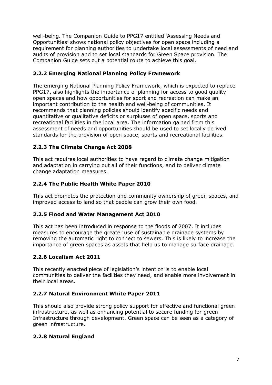well-being. The Companion Guide to PPG17 entitled "Assessing Needs and Opportunities" shows national policy objectives for open space including a requirement for planning authorities to undertake local assessments of need and audits of provision and to set local standards for Green Space provision. The Companion Guide sets out a potential route to achieve this goal.

## **2.2.2 Emerging National Planning Policy Framework**

The emerging National Planning Policy Framework, which is expected to replace PPG17, also highlights the importance of planning for access to good quality open spaces and how opportunities for sport and recreation can make an important contribution to the health and well-being of communities. It recommends that planning policies should identify specific needs and quantitative or qualitative deficits or surpluses of open space, sports and recreational facilities in the local area. The information gained from this assessment of needs and opportunities should be used to set locally derived standards for the provision of open space, sports and recreational facilities.

## **2.2.3 The Climate Change Act 2008**

This act requires local authorities to have regard to climate change mitigation and adaptation in carrying out all of their functions, and to deliver climate change adaptation measures.

## **2.2.4 The Public Health White Paper 2010**

This act promotes the protection and community ownership of green spaces, and improved access to land so that people can grow their own food.

## **2.2.5 Flood and Water Management Act 2010**

This act has been introduced in response to the floods of 2007. It includes measures to encourage the greater use of sustainable drainage systems by removing the automatic right to connect to sewers. This is likely to increase the importance of green spaces as assets that help us to manage surface drainage.

## **2.2.6 Localism Act 2011**

This recently enacted piece of legislation"s intention is to enable local communities to deliver the facilities they need, and enable more involvement in their local areas.

## **2.2.7 Natural Environment White Paper 2011**

This should also provide strong policy support for effective and functional green infrastructure, as well as enhancing potential to secure funding for green Infrastructure through development. Green space can be seen as a category of green infrastructure.

## **2.2.8 Natural England**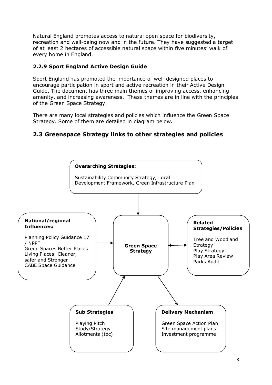Natural England promotes access to natural open space for biodiversity, recreation and well-being now and in the future. They have suggested a target of at least 2 hectares of accessible natural space within five minutes' walk of every home in England.

## **2.2.9 Sport England Active Design Guide**

Sport England has promoted the importance of well-designed places to encourage participation in sport and active recreation in their Active Design Guide. The document has three main themes of improving access, enhancing amenity, and increasing awareness. These themes are in line with the principles of the Green Space Strategy.

There are many local strategies and policies which influence the Green Space Strategy. Some of them are detailed in diagram below**.** 

# <span id="page-8-0"></span>**2.3 Greenspace Strategy links to other strategies and policies**

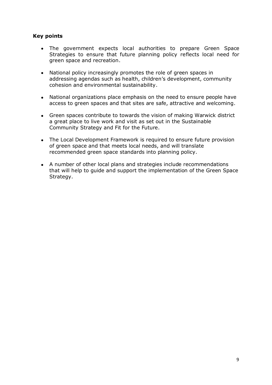#### **Key points**

- The government expects local authorities to prepare Green Space  $\bullet$ Strategies to ensure that future planning policy reflects local need for green space and recreation.
- National policy increasingly promotes the role of green spaces in  $\bullet$ addressing agendas such as health, children"s development, community cohesion and environmental sustainability.
- National organizations place emphasis on the need to ensure people have access to green spaces and that sites are safe, attractive and welcoming.
- Green spaces contribute to towards the vision of making Warwick district a great place to live work and visit as set out in the Sustainable Community Strategy and Fit for the Future.
- The Local Development Framework is required to ensure future provision of green space and that meets local needs, and will translate recommended green space standards into planning policy.
- A number of other local plans and strategies include recommendations that will help to guide and support the implementation of the Green Space Strategy.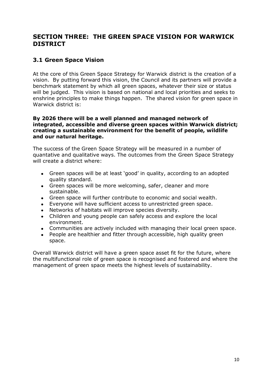# <span id="page-10-0"></span>**SECTION THREE: THE GREEN SPACE VISION FOR WARWICK DISTRICT**

## <span id="page-10-1"></span>**3.1 Green Space Vision**

At the core of this Green Space Strategy for Warwick district is the creation of a vision. By putting forward this vision, the Council and its partners will provide a benchmark statement by which all green spaces, whatever their size or status will be judged. This vision is based on national and local priorities and seeks to enshrine principles to make things happen. The shared vision for green space in Warwick district is:

#### **By 2026 there will be a well planned and managed network of integrated, accessible and diverse green spaces within Warwick district; creating a sustainable environment for the benefit of people, wildlife and our natural heritage.**

The success of the Green Space Strategy will be measured in a number of quantative and qualitative ways. The outcomes from the Green Space Strategy will create a district where:

- Green spaces will be at least "good" in quality, according to an adopted quality standard.
- Green spaces will be more welcoming, safer, cleaner and more sustainable.
- Green space will further contribute to economic and social wealth.
- Everyone will have sufficient access to unrestricted green space.
- Networks of habitats will improve species diversity.
- Children and young people can safely access and explore the local environment.
- Communities are actively included with managing their local green space.
- People are healthier and fitter through accessible, high quality green  $\bullet$ space.

Overall Warwick district will have a green space asset fit for the future, where the multifunctional role of green space is recognised and fostered and where the management of green space meets the highest levels of sustainability.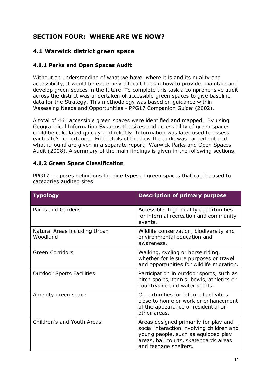# <span id="page-11-0"></span>**SECTION FOUR: WHERE ARE WE NOW?**

## <span id="page-11-1"></span>**4.1 Warwick district green space**

#### **4.1.1 Parks and Open Spaces Audit**

Without an understanding of what we have, where it is and its quality and accessibility, it would be extremely difficult to plan how to provide, maintain and develop green spaces in the future. To complete this task a comprehensive audit across the district was undertaken of accessible green spaces to give baseline data for the Strategy. This methodology was based on guidance within 'Assessing Needs and Opportunities - PPG17 Companion Guide' (2002).

A total of 461 accessible green spaces were identified and mapped. By using Geographical Information Systems the sizes and accessibility of green spaces could be calculated quickly and reliably. Information was later used to assess each site"s importance. Full details of the how the audit was carried out and what it found are given in a separate report, "Warwick Parks and Open Spaces Audit (2008). A summary of the main findings is given in the following sections.

#### **4.1.2 Green Space Classification**

| <b>Typology</b>                           | <b>Description of primary purpose</b>                                                                                                                                                       |
|-------------------------------------------|---------------------------------------------------------------------------------------------------------------------------------------------------------------------------------------------|
| Parks and Gardens                         | Accessible, high quality opportunities<br>for informal recreation and community<br>events.                                                                                                  |
| Natural Areas including Urban<br>Woodland | Wildlife conservation, biodiversity and<br>environmental education and<br>awareness.                                                                                                        |
| <b>Green Corridors</b>                    | Walking, cycling or horse riding,<br>whether for leisure purposes or travel<br>and opportunities for wildlife migration.                                                                    |
| <b>Outdoor Sports Facilities</b>          | Participation in outdoor sports, such as<br>pitch sports, tennis, bowls, athletics or<br>countryside and water sports.                                                                      |
| Amenity green space                       | Opportunities for informal activities<br>close to home or work or enhancement<br>of the appearance of residential or<br>other areas.                                                        |
| Children's and Youth Areas                | Areas designed primarily for play and<br>social interaction involving children and<br>young people, such as equipped play<br>areas, ball courts, skateboards areas<br>and teenage shelters. |

PPG17 proposes definitions for nine types of green spaces that can be used to categories audited sites.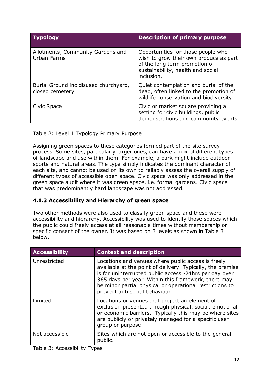| <b>Typology</b>                                          | <b>Description of primary purpose</b>                                                                                                                            |
|----------------------------------------------------------|------------------------------------------------------------------------------------------------------------------------------------------------------------------|
| Allotments, Community Gardens and<br>Urban Farms         | Opportunities for those people who<br>wish to grow their own produce as part<br>of the long term promotion of<br>sustainability, health and social<br>inclusion. |
| Burial Ground inc disused churchyard,<br>closed cemetery | Quiet contemplation and burial of the<br>dead, often linked to the promotion of<br>wildlife conservation and biodiversity.                                       |
| Civic Space                                              | Civic or market square providing a<br>setting for civic buildings, public<br>demonstrations and community events.                                                |

#### Table 2: Level 1 Typology Primary Purpose

Assigning green spaces to these categories formed part of the site survey process. Some sites, particularly larger ones, can have a mix of different types of landscape and use within them. For example, a park might include outdoor sports and natural areas. The type simply indicates the dominant character of each site, and cannot be used on its own to reliably assess the overall supply of different types of accessible open space. Civic space was only addressed in the green space audit where it was green space, i.e. formal gardens. Civic space that was predominantly hard landscape was not addressed.

## **4.1.3 Accessibility and Hierarchy of green space**

Two other methods were also used to classify green space and these were accessibility and hierarchy. Accessibility was used to identify those spaces which the public could freely access at all reasonable times without membership or specific consent of the owner. It was based on 3 levels as shown in Table 3 below.

| <b>Accessibility</b> | <b>Context and description</b>                                                                                                                                                                                                                                                                                                  |
|----------------------|---------------------------------------------------------------------------------------------------------------------------------------------------------------------------------------------------------------------------------------------------------------------------------------------------------------------------------|
| Unrestricted         | Locations and venues where public access is freely<br>available at the point of delivery. Typically, the premise<br>is for uninterrupted public access -24hrs per day over<br>365 days per year. Within this framework, there may<br>be minor partial physical or operational restrictions to<br>prevent anti social behaviour. |
| Limited              | Locations or venues that project an element of<br>exclusion presented through physical, social, emotional<br>or economic barriers. Typically this may be where sites<br>are publicly or privately managed for a specific user<br>group or purpose.                                                                              |
| Not accessible       | Sites which are not open or accessible to the general<br>public.                                                                                                                                                                                                                                                                |

Table 3: Accessibility Types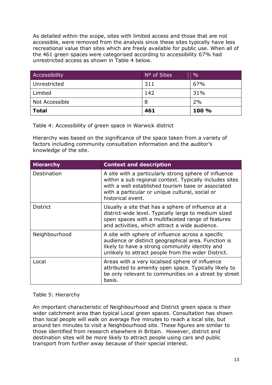As detailed within the scope, sites with limited access and those that are not accessible, were removed from the analysis since these sites typically have less recreational value than sites which are freely available for public use. When all of the 461 green spaces were categorised according to accessibility 67% had unrestricted access as shown in Table 4 below.

| Accessibility  | Nº of Sites | $\frac{0}{0}$ |
|----------------|-------------|---------------|
| Unrestricted   | 311         | 67%           |
| Limited        | 142         | 31%           |
| Not Accessible | 8           | 2%            |
| <b>Total</b>   | 461         | 100 %         |

Table 4: Accessibility of green space in Warwick district

Hierarchy was based on the significance of the space taken from a variety of factors including community consultation information and the auditor's knowledge of the site.

| <b>Hierarchy</b>   | <b>Context and description</b>                                                                                                                                                                                                                 |
|--------------------|------------------------------------------------------------------------------------------------------------------------------------------------------------------------------------------------------------------------------------------------|
| <b>Destination</b> | A site with a particularly strong sphere of influence<br>within a sub regional context. Typically includes sites<br>with a well established tourism base or associated<br>with a particular or unique cultural, social or<br>historical event. |
| <b>District</b>    | Usually a site that has a sphere of influence at a<br>district-wide level. Typically large to medium sized<br>open spaces with a multifaceted range of features<br>and activities, which attract a wide audience.                              |
| Neighbourhood      | A site with sphere of influence across a specific<br>audience or distinct geographical area. Function is<br>likely to have a strong community identity and<br>unlikely to attract people from the wider District.                              |
| Local              | Areas with a very localised sphere of influence<br>attributed to amenity open space. Typically likely to<br>be only relevant to communities on a street by street<br>basis.                                                                    |

#### Table 5: Hierarchy

An important characteristic of Neighbourhood and District green space is their wider catchment area than typical Local green spaces. Consultation has shown than local people will walk on average five minutes to reach a local site, but around ten minutes to visit a Neighbourhood site. These figures are similar to those identified from research elsewhere in Britain. However, district and destination sites will be more likely to attract people using cars and public transport from further away because of their special interest.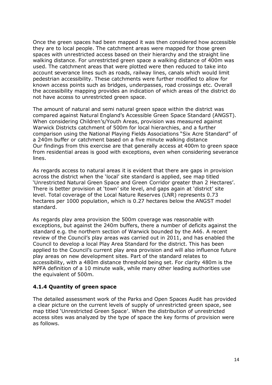Once the green spaces had been mapped it was then considered how accessible they are to local people. The catchment areas were mapped for those green spaces with unrestricted access based on their hierarchy and the straight line walking distance. For unrestricted green space a walking distance of 400m was used. The catchment areas that were plotted were then reduced to take into account severance lines such as roads, railway lines, canals which would limit pedestrian accessibility. These catchments were further modified to allow for known access points such as bridges, underpasses, road crossings etc. Overall the accessibility mapping provides an indication of which areas of the district do not have access to unrestricted green space.

The amount of natural and semi natural green space within the district was compared against Natural England"s Accessible Green Space Standard (ANGST). When considering Children"s/Youth Areas, provision was measured against Warwick Districts catchment of 500m for local hierarchies, and a further comparison using the National Playing Fields Associations "Six Acre Standard" of a 240m buffer or catchment based on a five minute walking distance Our findings from this exercise are that generally access at 400m to green space from residential areas is good with exceptions, even when considering severance lines.

As regards access to natural areas it is evident that there are gaps in provision across the district when the "local" site standard is applied, see map titled "Unrestricted Natural Green Space and Green Corridor greater than 2 Hectares". There is better provision at 'town' site level, and gaps again at 'district' site level. Total coverage of the Local Nature Reserves (LNR) represents 0.73 hectares per 1000 population, which is 0.27 hectares below the ANGST model standard.

As regards play area provision the 500m coverage was reasonable with exceptions, but against the 240m buffers, there a number of deficits against the standard e.g. the northern section of Warwick bounded by the A46. A recent review of the Council's play areas was carried out in 2011, and has enabled the Council to develop a local Play Area Standard for the district. This has been applied to the Council"s current play area provision and will also influence future play areas on new development sites. Part of the standard relates to accessibility, with a 480m distance threshold being set. For clarity 480m is the NPFA definition of a 10 minute walk, while many other leading authorities use the equivalent of 500m.

## **4.1.4 Quantity of green space**

The detailed assessment work of the Parks and Open Spaces Audit has provided a clear picture on the current levels of supply of unrestricted green space, see map titled "Unrestricted Green Space". When the distribution of unrestricted access sites was analyzed by the type of space the key forms of provision were as follows.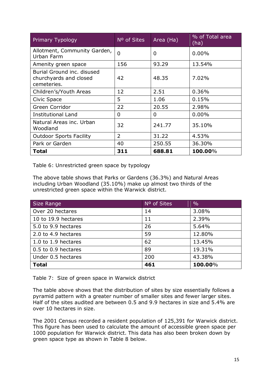| <b>Primary Typology</b>                                             | N <sup>o</sup> of Sites | Area (Ha) | % of Total area<br>(ha) |
|---------------------------------------------------------------------|-------------------------|-----------|-------------------------|
| Allotment, Community Garden,<br>Urban Farm                          | $\overline{0}$          | 0         | 0.00%                   |
| Amenity green space                                                 | 156                     | 93.29     | 13.54%                  |
| Burial Ground inc. disused<br>churchyards and closed<br>cemeteries. | 42                      | 48.35     | 7.02%                   |
| Children's/Youth Areas                                              | 12                      | 2.51      | 0.36%                   |
| Civic Space                                                         | 5                       | 1.06      | 0.15%                   |
| Green Corridor                                                      | 22                      | 20.55     | 2.98%                   |
| <b>Institutional Land</b>                                           | 0                       | 0         | $0.00\%$                |
| Natural Areas inc. Urban<br>Woodland                                | 32                      | 241.77    | 35.10%                  |
| <b>Outdoor Sports Facility</b>                                      | $\overline{2}$          | 31.22     | 4.53%                   |
| Park or Garden                                                      | 40                      | 250.55    | 36.30%                  |
| <b>Total</b>                                                        | 311                     | 688.81    | 100.00%                 |

Table 6: Unrestricted green space by typology

The above table shows that Parks or Gardens (36.3%) and Natural Areas including Urban Woodland (35.10%) make up almost two thirds of the unrestricted green space within the Warwick district.

| Size Range          | N <sup>o</sup> of Sites | $\frac{0}{0}$ |
|---------------------|-------------------------|---------------|
| Over 20 hectares    | 14                      | 3.08%         |
| 10 to 19.9 hectares | 11                      | 2.39%         |
| 5.0 to 9.9 hectares | 26                      | 5.64%         |
| 2.0 to 4.9 hectares | 59                      | 12.80%        |
| 1.0 to 1.9 hectares | 62                      | 13.45%        |
| 0.5 to 0.9 hectares | 89                      | 19.31%        |
| Under 0.5 hectares  | 200                     | 43.38%        |
| <b>Total</b>        | 461                     | 100.00%       |

Table 7: Size of green space in Warwick district

The table above shows that the distribution of sites by size essentially follows a pyramid pattern with a greater number of smaller sites and fewer larger sites. Half of the sites audited are between 0.5 and 9.9 hectares in size and 5.4% are over 10 hectares in size.

The 2001 Census recorded a resident population of 125,391 for Warwick district. This figure has been used to calculate the amount of accessible green space per 1000 population for Warwick district. This data has also been broken down by green space type as shown in Table 8 below.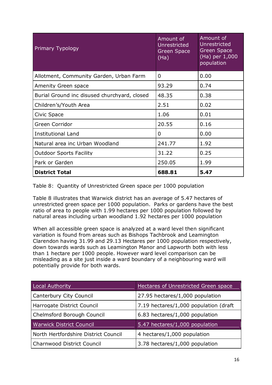| Primary Typology                             | Amount of<br>Unrestricted<br><b>Green Space</b><br>(Ha) | Amount of<br>Unrestricted<br><b>Green Space</b><br>(Ha) per 1,000<br>population |
|----------------------------------------------|---------------------------------------------------------|---------------------------------------------------------------------------------|
| Allotment, Community Garden, Urban Farm      | 0                                                       | 0.00                                                                            |
| Amenity Green space                          | 93.29                                                   | 0.74                                                                            |
| Burial Ground inc disused churchyard, closed | 48.35                                                   | 0.38                                                                            |
| Children's/Youth Area                        | 2.51                                                    | 0.02                                                                            |
| Civic Space                                  | 1.06                                                    | 0.01                                                                            |
| Green Corridor                               | 20.55                                                   | 0.16                                                                            |
| <b>Institutional Land</b>                    | 0                                                       | 0.00                                                                            |
| Natural area inc Urban Woodland              | 241.77                                                  | 1.92                                                                            |
| <b>Outdoor Sports Facility</b>               | 31.22                                                   | 0.25                                                                            |
| Park or Garden                               | 250.05                                                  | 1.99                                                                            |
| <b>District Total</b>                        | 688.81                                                  | 5.47                                                                            |

Table 8: Quantity of Unrestricted Green space per 1000 population

Table 8 illustrates that Warwick district has an average of 5.47 hectares of unrestricted green space per 1000 population. Parks or gardens have the best ratio of area to people with 1.99 hectares per 1000 population followed by natural areas including urban woodland 1.92 hectares per 1000 population

When all accessible green space is analyzed at a ward level then significant variation is found from areas such as Bishops Tachbrook and Leamington Clarendon having 31.99 and 29.13 Hectares per 1000 population respectively, down towards wards such as Leamington Manor and Lapworth both with less than 1 hectare per 1000 people. However ward level comparison can be misleading as a site just inside a ward boundary of a neighbouring ward will potentially provide for both wards.

| Local Authority                      | Hectares of Unrestricted Green space   |
|--------------------------------------|----------------------------------------|
| Canterbury City Council              | 27.95 hectares/1,000 population        |
| Harrogate District Council           | 7.19 hectares/1,000 population (draft) |
| Chelmsford Borough Council           | 6.83 hectares/1,000 population         |
| <b>Warwick District Council</b>      | 5.47 hectares/1,000 population         |
| North Hertfordshire District Council | 4 hectares/1,000 population            |
| Charnwood District Council           | 3.78 hectares/1,000 population         |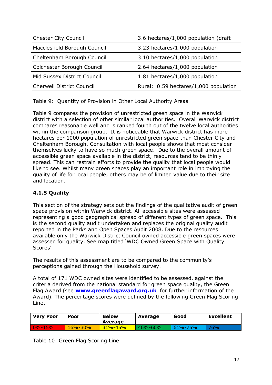| <b>Chester City Council</b>      | 3.6 hectares/1,000 population (draft) |
|----------------------------------|---------------------------------------|
| Macclesfield Borough Council     | 3.23 hectares/1,000 population        |
| Cheltenham Borough Council       | 3.10 hectares/1,000 population        |
| Colchester Borough Council       | 2.64 hectares/1,000 population        |
| Mid Sussex District Council      | 1.81 hectares/1,000 population        |
| <b>Cherwell District Council</b> | Rural: 0.59 hectares/1,000 population |
|                                  |                                       |

Table 9: Quantity of Provision in Other Local Authority Areas

Table 9 compares the provision of unrestricted green space in the Warwick district with a selection of other similar local authorities. Overall Warwick district compares reasonable well and is ranked fourth out of the twelve local authorities within the comparison group. It is noticeable that Warwick district has more hectares per 1000 population of unrestricted green space than Chester City and Cheltenham Borough. Consultation with local people shows that most consider themselves lucky to have so much green space. Due to the overall amount of accessible green space available in the district, resources tend to be thinly spread. This can restrain efforts to provide the quality that local people would like to see. Whilst many green spaces play an important role in improving the quality of life for local people, others may be of limited value due to their size and location.

## **4.1.5 Quality**

This section of the strategy sets out the findings of the qualitative audit of green space provision within Warwick district. All accessible sites were assessed representing a good geographical spread of different types of green space. This is the second quality audit undertaken and replaces the original quality audit reported in the Parks and Open Spaces Audit 2008. Due to the resources available only the Warwick District Council owned accessible green spaces were assessed for quality. See map titled "WDC Owned Green Space with Quality Scores'

The results of this assessment are to be compared to the community"s perceptions gained through the Household survey.

A total of 171 WDC owned sites were identified to be assessed, against the criteria derived from the national standard for green space quality, the Green Flag Award (see **[www.greenflagaward.org.uk](file:///C:\Documents%20and%20Settings\david.anderson\Local%20Settings\Temporary%20Internet%20Files\Content.Outlook\7N8PNLEK\www.greenflagaward.org.uk)** for further information of the Award). The percentage scores were defined by the following Green Flag Scoring Line.

| <b>Very Poor</b> | Poor          | <b>Below</b><br>Average | Average       | Good          | <b>Excellent</b> |
|------------------|---------------|-------------------------|---------------|---------------|------------------|
| $0\% - 15\%$     | $16\% - 30\%$ | $31\% - 45\%$           | $46\% - 60\%$ | $61\% - 75\%$ | $76\%$           |

Table 10: Green Flag Scoring Line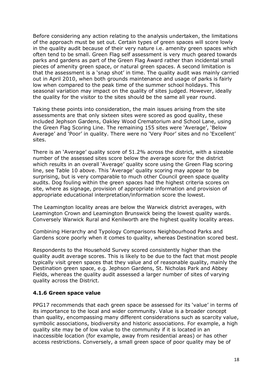Before considering any action relating to the analysis undertaken, the limitations of the approach must be set out. Certain types of green spaces will score lowly in the quality audit because of their very nature i.e. amenity green spaces which often tend to be small. Green Flag self assessment is very much geared towards parks and gardens as part of the Green Flag Award rather than incidental small pieces of amenity green space, or natural green spaces. A second limitation is that the assessment is a 'snap shot' in time. The quality audit was mainly carried out in April 2010, when both grounds maintenance and usage of parks is fairly low when compared to the peak time of the summer school holidays. This seasonal variation may impact on the quality of sites judged. However, ideally the quality for the visitor to the sites should be the same all year round.

Taking these points into consideration, the main issues arising from the site assessments are that only sixteen sites were scored as good quality, these included Jephson Gardens, Oakley Wood Crematorium and School Lane, using the Green Flag Scoring Line. The remaining 155 sites were "Average", "Below Average' and 'Poor' in quality. There were no 'Very Poor' sites and no 'Excellent' sites.

There is an 'Average' quality score of 51.2% across the district, with a sizeable number of the assessed sites score below the average score for the district which results in an overall 'Average' quality score using the Green Flag scoring line, see Table 10 above. This "Average" quality scoring may appear to be surprising, but is very comparable to much other Council green space quality audits. Dog fouling within the green spaces had the highest criteria scores on site, where as signage, provision of appropriate information and provision of appropriate educational interpretation/information score the lowest.

The Leamington locality areas are below the Warwick district averages, with Leamington Crown and Leamington Brunswick being the lowest quality wards. Conversely Warwick Rural and Kenilworth are the highest quality locality areas.

Combining Hierarchy and Typology Comparisons Neighbourhood Parks and Gardens score poorly when it comes to quality, whereas Destination scored best.

Respondents to the Household Survey scored consistently higher than the quality audit average scores. This is likely to be due to the fact that most people typically visit green spaces that they value and of reasonable quality, mainly the Destination green space, e.g. Jephson Gardens, St. Nicholas Park and Abbey Fields, whereas the quality audit assessed a larger number of sites of varying quality across the District.

#### **4.1.6 Green space value**

PPG17 recommends that each green space be assessed for its "value" in terms of its importance to the local and wider community. Value is a broader concept than quality, encompassing many different considerations such as scarcity value, symbolic associations, biodiversity and historic associations. For example, a high quality site may be of low value to the community if it is located in an inaccessible location (for example, away from residential areas) or has other access restrictions. Conversely, a small green space of poor quality may be of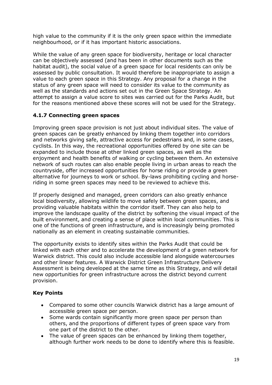high value to the community if it is the only green space within the immediate neighbourhood, or if it has important historic associations.

While the value of any green space for biodiversity, heritage or local character can be objectively assessed (and has been in other documents such as the habitat audit), the social value of a green space for local residents can only be assessed by public consultation. It would therefore be inappropriate to assign a value to each green space in this Strategy. Any proposal for a change in the status of any green space will need to consider its value to the community as well as the standards and actions set out in the Green Space Strategy. An attempt to assign a value score to sites was carried out for the Parks Audit, but for the reasons mentioned above these scores will not be used for the Strategy.

## **4.1.7 Connecting green spaces**

Improving green space provision is not just about individual sites. The value of green spaces can be greatly enhanced by linking them together into corridors and networks giving safe, attractive access for pedestrians and, in some cases, cyclists. In this way, the recreational opportunities offered by one site can be expanded to include those at other linked green spaces, as well as the enjoyment and health benefits of walking or cycling between them. An extensive network of such routes can also enable people living in urban areas to reach the countryside, offer increased opportunities for horse riding or provide a green alternative for journeys to work or school. By-laws prohibiting cycling and horseriding in some green spaces may need to be reviewed to achieve this.

If properly designed and managed, green corridors can also greatly enhance local biodiversity, allowing wildlife to move safely between green spaces, and providing valuable habitats within the corridor itself. They can also help to improve the landscape quality of the district by softening the visual impact of the built environment, and creating a sense of place within local communities. This is one of the functions of green infrastructure, and is increasingly being promoted nationally as an element in creating sustainable communities.

The opportunity exists to identify sites within the Parks Audit that could be linked with each other and to accelerate the development of a green network for Warwick district. This could also include accessible land alongside watercourses and other linear features. A Warwick District Green Infrastructure Delivery Assessment is being developed at the same time as this Strategy, and will detail new opportunities for green infrastructure across the district beyond current provision.

## **Key Points**

- Compared to some other councils Warwick district has a large amount of accessible green space per person.
- Some wards contain significantly more green space per person than  $\bullet$ others, and the proportions of different types of green space vary from one part of the district to the other.
- The value of green spaces can be enhanced by linking them together, although further work needs to be done to identify where this is feasible.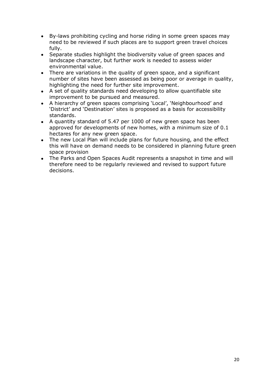- $\bullet$ By-laws prohibiting cycling and horse riding in some green spaces may need to be reviewed if such places are to support green travel choices fully.
- Separate studies highlight the biodiversity value of green spaces and  $\bullet$ landscape character, but further work is needed to assess wider environmental value.
- There are variations in the quality of green space, and a significant  $\bullet$ number of sites have been assessed as being poor or average in quality, highlighting the need for further site improvement.
- A set of quality standards need developing to allow quantifiable site  $\bullet$ improvement to be pursued and measured.
- A hierarchy of green spaces comprising "Local", "Neighbourhood" and  $\bullet$ "District" and "Destination" sites is proposed as a basis for accessibility standards.
- A quantity standard of 5.47 per 1000 of new green space has been approved for developments of new homes, with a minimum size of 0.1 hectares for any new green space.
- The new Local Plan will include plans for future housing, and the effect  $\bullet$ this will have on demand needs to be considered in planning future green space provision
- The Parks and Open Spaces Audit represents a snapshot in time and will therefore need to be regularly reviewed and revised to support future decisions.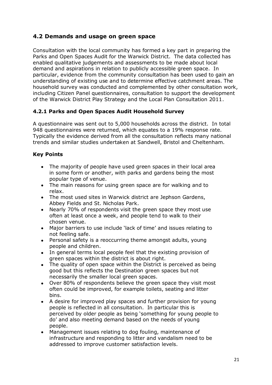# <span id="page-21-0"></span>**4.2 Demands and usage on green space**

Consultation with the local community has formed a key part in preparing the Parks and Open Spaces Audit for the Warwick District. The data collected has enabled qualitative judgements and assessments to be made about local demand and aspirations in relation to publicly accessible green space. In particular, evidence from the community consultation has been used to gain an understanding of existing use and to determine effective catchment areas. The household survey was conducted and complemented by other consultation work, including Citizen Panel questionnaires, consultation to support the development of the Warwick District Play Strategy and the Local Plan Consultation 2011.

## **4.2.1 Parks and Open Spaces Audit Household Survey**

A questionnaire was sent out to 5,000 households across the district. In total 948 questionnaires were returned, which equates to a 19% response rate. Typically the evidence derived from all the consultation reflects many national trends and similar studies undertaken at Sandwell, Bristol and Cheltenham.

## **Key Points**

- The majority of people have used green spaces in their local area in some form or another, with parks and gardens being the most popular type of venue.
- The main reasons for using green space are for walking and to relax.
- The most used sites in Warwick district are Jephson Gardens, Abbey Fields and St. Nicholas Park.
- Nearly 70% of respondents visit the green space they most use often at least once a week, and people tend to walk to their chosen venue.
- Major barriers to use include "lack of time" and issues relating to not feeling safe.
- $\bullet$ Personal safety is a reoccurring theme amongst adults, young people and children.
- In general terms local people feel that the existing provision of green spaces within the district is about right.
- The quality of open space within the District is perceived as being good but this reflects the Destination green spaces but not necessarily the smaller local green spaces.
- Over 80% of respondents believe the green space they visit most  $\bullet$ often could be improved, for example toilets, seating and litter bins.
- A desire for improved play spaces and further provision for young  $\bullet$ people is reflected in all consultation. In particular this is perceived by older people as being "something for young people to do" and also meeting demand based on the needs of young people.
- Management issues relating to dog fouling, maintenance of infrastructure and responding to litter and vandalism need to be addressed to improve customer satisfaction levels.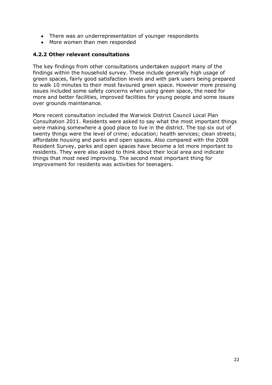- There was an underrepresentation of younger respondents
- More women than men responded

#### **4.2.2 Other relevant consultations**

The key findings from other consultations undertaken support many of the findings within the household survey. These include generally high usage of green spaces, fairly good satisfaction levels and with park users being prepared to walk 10 minutes to their most favoured green space. However more pressing issues included some safety concerns when using green space, the need for more and better facilities, improved facilities for young people and some issues over grounds maintenance.

More recent consultation included the Warwick District Council Local Plan Consultation 2011. Residents were asked to say what the most important things were making somewhere a good place to live in the district. The top six out of twenty things were the level of crime; education; health services; clean streets; affordable housing and parks and open spaces. Also compared with the 2008 Resident Survey, parks and open spaces have become a lot more important to residents. They were also asked to think about their local area and indicate things that most need improving. The second most important thing for improvement for residents was activities for teenagers.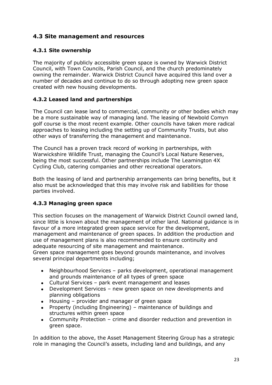# <span id="page-23-0"></span>**4.3 Site management and resources**

## **4.3.1 Site ownership**

The majority of publicly accessible green space is owned by Warwick District Council, with Town Councils, Parish Council, and the church predominately owning the remainder. Warwick District Council have acquired this land over a number of decades and continue to do so through adopting new green space created with new housing developments.

## **4.3.2 Leased land and partnerships**

The Council can lease land to commercial, community or other bodies which may be a more sustainable way of managing land. The leasing of Newbold Comyn golf course is the most recent example. Other councils have taken more radical approaches to leasing including the setting up of Community Trusts, but also other ways of transferring the management and maintenance.

The Council has a proven track record of working in partnerships, with Warwickshire Wildlife Trust, managing the Council's Local Nature Reserves, being the most successful. Other partnerships include The Leamington 4X Cycling Club, catering companies and other recreational operators.

Both the leasing of land and partnership arrangements can bring benefits, but it also must be acknowledged that this may involve risk and liabilities for those parties involved.

## **4.3.3 Managing green space**

This section focuses on the management of Warwick District Council owned land, since little is known about the management of other land. National guidance is in favour of a more integrated green space service for the development, management and maintenance of green spaces. In addition the production and use of management plans is also recommended to ensure continuity and adequate resourcing of site management and maintenance.

Green space management goes beyond grounds maintenance, and involves several principal departments including;

- Neighbourhood Services parks development, operational management  $\bullet$ and grounds maintenance of all types of green space
- Cultural Services park event management and leases  $\bullet$
- $\bullet$ Development Services – new green space on new developments and planning obligations
- Housing provider and manager of green space
- Property (including Engineering) maintenance of buildings and structures within green space
- Community Protection crime and disorder reduction and prevention in green space.

In addition to the above, the Asset Management Steering Group has a strategic role in managing the Council"s assets, including land and buildings, and any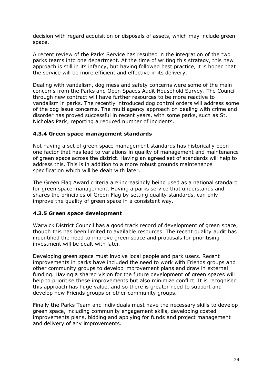decision with regard acquisition or disposals of assets, which may include green space.

A recent review of the Parks Service has resulted in the integration of the two parks teams into one department. At the time of writing this strategy, this new approach is still in its infancy, but having followed best practice, it is hoped that the service will be more efficient and effective in its delivery.

Dealing with vandalism, dog mess and safety concerns were some of the main concerns from the Parks and Open Spaces Audit Household Survey. The Council through new contract will have further resources to be more reactive to vandalism in parks. The recently introduced dog control orders will address some of the dog issue concerns. The multi agency approach on dealing with crime and disorder has proved successful in recent years, with some parks, such as St. Nicholas Park, reporting a reduced number of incidents.

#### **4.3.4 Green space management standards**

Not having a set of green space management standards has historically been one factor that has lead to variations in quality of management and maintenance of green space across the district. Having an agreed set of standards will help to address this. This is in addition to a more robust grounds maintenance specification which will be dealt with later.

The Green Flag Award criteria are increasingly being used as a national standard for green space management. Having a parks service that understands and shares the principles of Green Flag by setting quality standards, can only improve the quality of green space in a consistent way.

#### **4.3.5 Green space development**

Warwick District Council has a good track record of development of green space, though this has been limited to available resources. The recent quality audit has indentified the need to improve green space and proposals for prioritising investment will be dealt with later.

Developing green space must involve local people and park users. Recent improvements in parks have included the need to work with Friends groups and other community groups to develop improvement plans and draw in external funding. Having a shared vision for the future development of green spaces will help to prioritise these improvements but also minimize conflict. It is recognised this approach has huge value, and so there is greater need to support and develop new Friends groups or other community groups.

Finally the Parks Team and individuals must have the necessary skills to develop green space, including community engagement skills, developing costed improvements plans, bidding and applying for funds and project management and delivery of any improvements.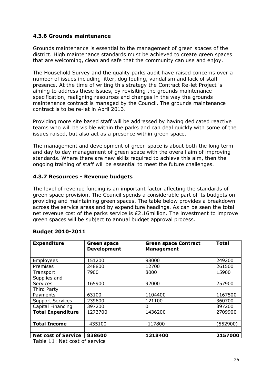#### **4.3.6 Grounds maintenance**

Grounds maintenance is essential to the management of green spaces of the district. High maintenance standards must be achieved to create green spaces that are welcoming, clean and safe that the community can use and enjoy.

The Household Survey and the quality parks audit have raised concerns over a number of issues including litter, dog fouling, vandalism and lack of staff presence. At the time of writing this strategy the Contract Re-let Project is aiming to address these issues, by revisiting the grounds maintenance specification, realigning resources and changes in the way the grounds maintenance contract is managed by the Council. The grounds maintenance contract is to be re-let in April 2013.

Providing more site based staff will be addressed by having dedicated reactive teams who will be visible within the parks and can deal quickly with some of the issues raised, but also act as a presence within green space.

The management and development of green space is about both the long term and day to day management of green space with the overall aim of improving standards. Where there are new skills required to achieve this aim, then the ongoing training of staff will be essential to meet the future challenges.

#### **4.3.7 Resources - Revenue budgets**

The level of revenue funding is an important factor affecting the standards of green space provision. The Council spends a considerable part of its budgets on providing and maintaining green spaces. The table below provides a breakdown across the service areas and by expenditure headings. As can be seen the total net revenue cost of the parks service is £2.16million. The investment to improve green spaces will be subject to annual budget approval process.

| <b>Expenditure</b>         | <b>Green space</b><br><b>Development</b> | <b>Green space Contract</b><br><b>Management</b> | <b>Total</b> |
|----------------------------|------------------------------------------|--------------------------------------------------|--------------|
|                            |                                          |                                                  |              |
| Employees                  | 151200                                   | 98000                                            | 249200       |
| Premises                   | 248800                                   | 12700                                            | 261500       |
| Transport                  | 7900                                     | 8000                                             | 15900        |
| Supplies and               |                                          |                                                  |              |
| Services                   | 165900                                   | 92000                                            | 257900       |
| Third Party                |                                          |                                                  |              |
| Payments                   | 63100                                    | 1104400                                          | 1167500      |
| <b>Support Services</b>    | 239600                                   | 121100                                           | 360700       |
| Capital Financing          | 397200                                   | O                                                | 397200       |
| <b>Total Expenditure</b>   | 1273700                                  | 1436200                                          | 2709900      |
|                            |                                          |                                                  |              |
| <b>Total Income</b>        | $-435100$                                | $-117800$                                        | (552900)     |
|                            |                                          |                                                  |              |
| <b>Net cost of Service</b> | 838600                                   | 1318400                                          | 2157000      |

#### **Budget 2010-2011**

Table 11: Net cost of service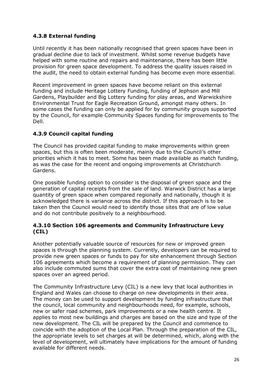## **4.3.8 External funding**

Until recently it has been nationally recognised that green spaces have been in gradual decline due to lack of investment. Whilst some revenue budgets have helped with some routine and repairs and maintenance, there has been little provision for green space development. To address the quality issues raised in the audit, the need to obtain external funding has become even more essential.

Recent improvement in green spaces have become reliant on this external funding and include Heritage Lottery Funding, funding of Jephson and Mill Gardens, Playbuilder and Big Lottery funding for play areas, and Warwickshire Environmental Trust for Eagle Recreation Ground, amongst many others. In some cases the funding can only be applied for by community groups supported by the Council, for example Community Spaces funding for improvements to The Dell.

## **4.3.9 Council capital funding**

The Council has provided capital funding to make improvements within green spaces, but this is often been moderate, mainly due to the Council's other priorities which it has to meet. Some has been made available as match funding, as was the case for the recent and ongoing improvements at Christchurch Gardens.

One possible funding option to consider is the disposal of green space and the generation of capital receipts from the sale of land. Warwick District has a large quantity of green space when compared regionally and nationally, though it is acknowledged there is variance across the district. If this approach is to be taken then the Council would need to identify those sites that are of low value and do not contribute positively to a neighbourhood.

#### **4.3.10 Section 106 agreements and Community Infrastructure Levy (CIL)**

Another potentially valuable source of resources for new or improved green spaces is through the planning system. Currently, developers can be required to provide new green spaces or funds to pay for site enhancement through Section 106 agreements which become a requirement of planning permission. They can also include commuted sums that cover the extra cost of maintaining new green spaces over an agreed period.

The Community Infrastructure Levy (CIL) is a new levy that local authorities in England and Wales can choose to charge on new developments in their area. The money can be used to support development by funding infrastructure that the council, local community and neighbourhoods need, for example, schools, new or safer road schemes, park improvements or a new health centre. It applies to most new buildings and charges are based on the size and type of the new development. The CIL will be prepared by the Council and commence to coincide with the adoption of the Local Plan. Through the preparation of the CIL, the appropriate levels to set charges at will be determined, which, along with the level of development, will ultimately have implications for the amount of funding available for different needs.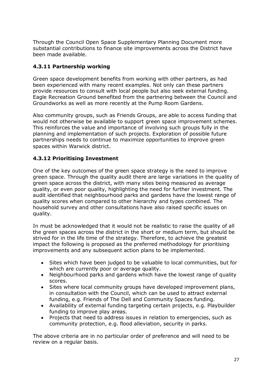Through the Council Open Space Supplementary Planning Document more substantial contributions to finance site improvements across the District have been made available.

## **4.3.11 Partnership working**

Green space development benefits from working with other partners, as had been experienced with many recent examples. Not only can these partners provide resources to consult with local people but also seek external funding. Eagle Recreation Ground benefited from the partnering between the Council and Groundworks as well as more recently at the Pump Room Gardens.

Also community groups, such as Friends Groups, are able to access funding that would not otherwise be available to support green space improvement schemes. This reinforces the value and importance of involving such groups fully in the planning and implementation of such projects. Exploration of possible future partnerships needs to continue to maximize opportunities to improve green spaces within Warwick district.

## **4.3.12 Prioritising Investment**

One of the key outcomes of the green space strategy is the need to improve green space. Through the quality audit there are large variations in the quality of green space across the district, with many sites being measured as average quality, or even poor quality, highlighting the need for further investment. The audit identified that neighbourhood parks and gardens have the lowest range of quality scores when compared to other hierarchy and types combined. The household survey and other consultations have also raised specific issues on quality.

In must be acknowledged that it would not be realistic to raise the quality of all the green spaces across the district in the short or medium term, but should be strived for in the life time of the strategy. Therefore, to achieve the greatest impact the following is proposed as the preferred methodology for prioritising improvements and any subsequent action plans to be implemented.

- Sites which have been judged to be valuable to local communities, but for which are currently poor or average quality.
- Neighbourhood parks and gardens which have the lowest range of quality scores.
- $\bullet$ Sites where local community groups have developed improvement plans, in consultation with the Council, which can be used to attract external funding, e.g. Friends of The Dell and Community Spaces funding.
- Availability of external funding targeting certain projects, e.g. Playbuilder funding to improve play areas.
- Projects that need to address issues in relation to emergencies, such as  $\bullet$ community protection, e.g. flood alleviation, security in parks.

The above criteria are in no particular order of preference and will need to be review on a regular basis.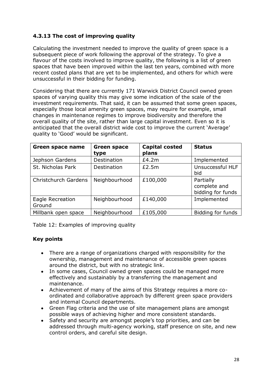## **4.3.13 The cost of improving quality**

Calculating the investment needed to improve the quality of green space is a subsequent piece of work following the approval of the strategy. To give a flavour of the costs involved to improve quality, the following is a list of green spaces that have been improved within the last ten years, combined with more recent costed plans that are yet to be implemented, and others for which were unsuccessful in their bidding for funding.

Considering that there are currently 171 Warwick District Council owned green spaces of varying quality this may give some indication of the scale of the investment requirements. That said, it can be assumed that some green spaces, especially those local amenity green spaces, may require for example, small changes in maintenance regimes to improve biodiversity and therefore the overall quality of the site, rather than large capital investment. Even so it is anticipated that the overall district wide cost to improve the current "Average" quality to "Good" would be significant.

| <b>Green space name</b>    | <b>Green space</b><br>type | <b>Capital costed</b><br>plans | <b>Status</b>                                  |
|----------------------------|----------------------------|--------------------------------|------------------------------------------------|
| Jephson Gardens            | Destination                | £4.2m                          | Implemented                                    |
| St. Nicholas Park          | <b>Destination</b>         | £2.5m                          | Unsuccessful HLF<br>bid                        |
| Christchurch Gardens       | Neighbourhood              | £100,000                       | Partially<br>complete and<br>bidding for funds |
| Eagle Recreation<br>Ground | Neighbourhood              | £140,000                       | Implemented                                    |
| Millbank open space        | Neighbourhood              | £105,000                       | Bidding for funds                              |

Table 12: Examples of improving quality

## **Key points**

- $\bullet$ There are a range of organizations charged with responsibility for the ownership, management and maintenance of accessible green spaces around the district, but with no strategic link.
- In some cases, Council owned green spaces could be managed more effectively and sustainably by a transferring the management and maintenance.
- Achievement of many of the aims of this Strategy requires a more co- $\bullet$ ordinated and collaborative approach by different green space providers and internal Council departments.
- Green Flag criteria and the use of site management plans are amongst  $\bullet$ possible ways of achieving higher and more consistent standards.
- Safety and security are amongst people's top priorities, and can be addressed through multi-agency working, staff presence on site, and new control orders, and careful site design.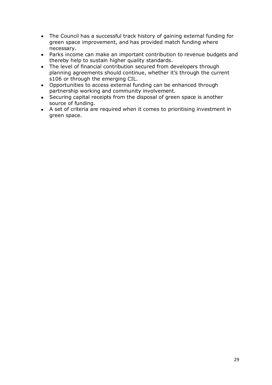- The Council has a successful track history of gaining external funding for green space improvement, and has provided match funding where necessary.
- Parks income can make an important contribution to revenue budgets and thereby help to sustain higher quality standards.
- The level of financial contribution secured from developers through planning agreements should continue, whether it's through the current s106 or through the emerging CIL.
- Opportunities to access external funding can be enhanced through  $\bullet$ partnership working and community involvement.
- Securing capital receipts from the disposal of green space is another source of funding.
- A set of criteria are required when it comes to prioritising investment in green space.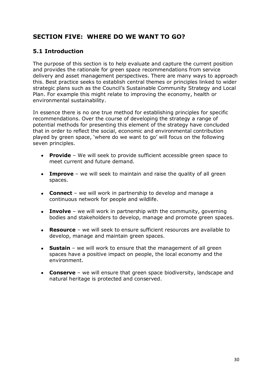# <span id="page-30-0"></span>**SECTION FIVE: WHERE DO WE WANT TO GO?**

# <span id="page-30-1"></span>**5.1 Introduction**

The purpose of this section is to help evaluate and capture the current position and provides the rationale for green space recommendations from service delivery and asset management perspectives. There are many ways to approach this. Best practice seeks to establish central themes or principles linked to wider strategic plans such as the Council's Sustainable Community Strategy and Local Plan. For example this might relate to improving the economy, health or environmental sustainability.

In essence there is no one true method for establishing principles for specific recommendations. Over the course of developing the strategy a range of potential methods for presenting this element of the strategy have concluded that in order to reflect the social, economic and environmental contribution played by green space, "where do we want to go" will focus on the following seven principles.

- **Provide** We will seek to provide sufficient accessible green space to  $\bullet$ meet current and future demand.
- **Improve** we will seek to maintain and raise the quality of all green spaces.
- **Connect** we will work in partnership to develop and manage a continuous network for people and wildlife.
- **Involve** we will work in partnership with the community, governing bodies and stakeholders to develop, manage and promote green spaces.
- $\bullet$ **Resource** – we will seek to ensure sufficient resources are available to develop, manage and maintain green spaces.
- **Sustain** we will work to ensure that the management of all green spaces have a positive impact on people, the local economy and the environment.
- **Conserve** we will ensure that green space biodiversity, landscape and natural heritage is protected and conserved.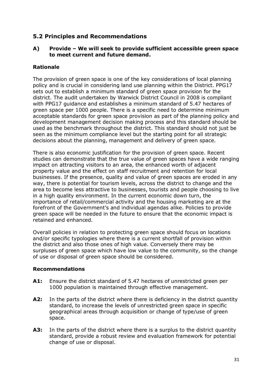## <span id="page-31-0"></span>**5.2 Principles and Recommendations**

#### **A) Provide – We will seek to provide sufficient accessible green space to meet current and future demand.**

#### **Rationale**

The provision of green space is one of the key considerations of local planning policy and is crucial in considering land use planning within the District. PPG17 sets out to establish a minimum standard of green space provision for the district. The audit undertaken by Warwick District Council in 2008 is compliant with PPG17 guidance and establishes a minimum standard of 5.47 hectares of green space per 1000 people. There is a specific need to determine minimum acceptable standards for green space provision as part of the planning policy and development management decision making process and this standard should be used as the benchmark throughout the district. This standard should not just be seen as the minimum compliance level but the starting point for all strategic decisions about the planning, management and delivery of green space.

There is also economic justification for the provision of green space. Recent studies can demonstrate that the true value of green spaces have a wide ranging impact on attracting visitors to an area, the enhanced worth of adjacent property value and the effect on staff recruitment and retention for local businesses. If the presence, quality and value of green spaces are eroded in any way, there is potential for tourism levels, across the district to change and the area to become less attractive to businesses, tourists and people choosing to live in a high quality environment. In the current economic down turn, the importance of retail/commercial activity and the housing marketing are at the forefront of the Government"s and individual agendas alike. Policies to provide green space will be needed in the future to ensure that the economic impact is retained and enhanced.

Overall policies in relation to protecting green space should focus on locations and/or specific typologies where there is a current shortfall of provision within the district and also those ones of high value. Conversely there may be surpluses of green space which have low value to the community, so the change of use or disposal of green space should be considered.

- **A1:** Ensure the district standard of 5.47 hectares of unrestricted green per 1000 population is maintained through effective management.
- **A2:** In the parts of the district where there is deficiency in the district quantity standard, to increase the levels of unrestricted green space in specific geographical areas through acquisition or change of type/use of green space.
- **A3:** In the parts of the district where there is a surplus to the district quantity standard, provide a robust review and evaluation framework for potential change of use or disposal.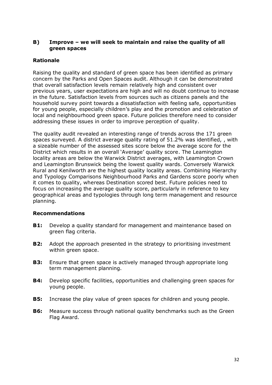#### **B) Improve – we will seek to maintain and raise the quality of all green spaces**

#### **Rationale**

Raising the quality and standard of green space has been identified as primary concern by the Parks and Open Spaces audit. Although it can be demonstrated that overall satisfaction levels remain relatively high and consistent over previous years, user expectations are high and will no doubt continue to increase in the future. Satisfaction levels from sources such as citizens panels and the household survey point towards a dissatisfaction with feeling safe, opportunities for young people, especially children"s play and the promotion and celebration of local and neighbourhood green space. Future policies therefore need to consider addressing these issues in order to improve perception of quality.

The quality audit revealed an interesting range of trends across the 171 green spaces surveyed. A district average quality rating of 51.2% was identified, , with a sizeable number of the assessed sites score below the average score for the District which results in an overall 'Average' quality score. The Leamington locality areas are below the Warwick District averages, with Leamington Crown and Leamington Brunswick being the lowest quality wards. Conversely Warwick Rural and Kenilworth are the highest quality locality areas. Combining Hierarchy and Typology Comparisons Neighbourhood Parks and Gardens score poorly when it comes to quality, whereas Destination scored best. Future policies need to focus on increasing the average quality score, particularly in reference to key geographical areas and typologies through long term management and resource planning.

- **B1:** Develop a quality standard for management and maintenance based on green flag criteria.
- **B2:** Adopt the approach presented in the strategy to prioritising investment within green space.
- **B3:** Ensure that green space is actively managed through appropriate long term management planning.
- **B4:** Develop specific facilities, opportunities and challenging green spaces for young people.
- **B5:** Increase the play value of green spaces for children and young people.
- **B6:** Measure success through national quality benchmarks such as the Green Flag Award.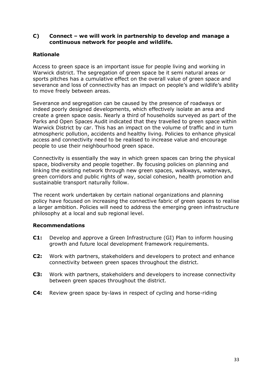#### **C) Connect – we will work in partnership to develop and manage a continuous network for people and wildlife.**

#### **Rationale**

Access to green space is an important issue for people living and working in Warwick district. The segregation of green space be it semi natural areas or sports pitches has a cumulative effect on the overall value of green space and severance and loss of connectivity has an impact on people's and wildlife's ability to move freely between areas.

Severance and segregation can be caused by the presence of roadways or indeed poorly designed developments, which effectively isolate an area and create a green space oasis. Nearly a third of households surveyed as part of the Parks and Open Spaces Audit indicated that they travelled to green space within Warwick District by car. This has an impact on the volume of traffic and in turn atmospheric pollution, accidents and healthy living. Policies to enhance physical access and connectivity need to be realised to increase value and encourage people to use their neighbourhood green space.

Connectivity is essentially the way in which green spaces can bring the physical space, biodiversity and people together. By focusing policies on planning and linking the existing network through new green spaces, walkways, waterways, green corridors and public rights of way, social cohesion, health promotion and sustainable transport naturally follow.

The recent work undertaken by certain national organizations and planning policy have focused on increasing the connective fabric of green spaces to realise a larger ambition. Policies will need to address the emerging green infrastructure philosophy at a local and sub regional level.

- **C1:** Develop and approve a Green Infrastructure (GI) Plan to inform housing growth and future local development framework requirements.
- **C2:** Work with partners, stakeholders and developers to protect and enhance connectivity between green spaces throughout the district.
- **C3:** Work with partners, stakeholders and developers to increase connectivity between green spaces throughout the district.
- **C4:** Review green space by-laws in respect of cycling and horse-riding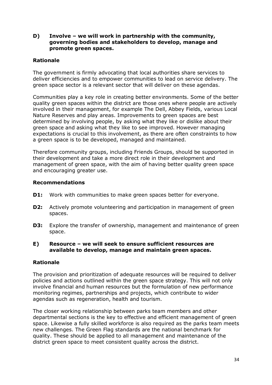**D) Involve – we will work in partnership with the community, governing bodies and stakeholders to develop, manage and promote green spaces.**

#### **Rationale**

The government is firmly advocating that local authorities share services to deliver efficiencies and to empower communities to lead on service delivery. The green space sector is a relevant sector that will deliver on these agendas.

Communities play a key role in creating better environments. Some of the better quality green spaces within the district are those ones where people are actively involved in their management, for example The Dell, Abbey Fields, various Local Nature Reserves and play areas. Improvements to green spaces are best determined by involving people, by asking what they like or dislike about their green space and asking what they like to see improved. However managing expectations is crucial to this involvement, as there are often constraints to how a green space is to be developed, managed and maintained.

Therefore community groups, including Friends Groups, should be supported in their development and take a more direct role in their development and management of green space, with the aim of having better quality green space and encouraging greater use.

#### **Recommendations**

- **D1:** Work with communities to make green spaces better for everyone.
- **D2:** Actively promote volunteering and participation in management of green spaces.
- **D3:** Explore the transfer of ownership, management and maintenance of green space.

#### **E) Resource – we will seek to ensure sufficient resources are available to develop, manage and maintain green spaces.**

#### **Rationale**

The provision and prioritization of adequate resources will be required to deliver policies and actions outlined within the green space strategy. This will not only involve financial and human resources but the formulation of new performance monitoring regimes, partnerships and projects, which contribute to wider agendas such as regeneration, health and tourism.

The closer working relationship between parks team members and other departmental sections is the key to effective and efficient management of green space. Likewise a fully skilled workforce is also required as the parks team meets new challenges. The Green Flag standards are the national benchmark for quality. These should be applied to all management and maintenance of the district green space to meet consistent quality across the district.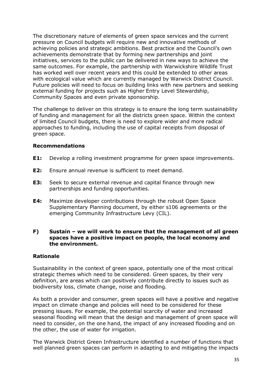The discretionary nature of elements of green space services and the current pressure on Council budgets will require new and innovative methods of achieving policies and strategic ambitions. Best practice and the Council"s own achievements demonstrate that by forming new partnerships and joint initiatives, services to the public can be delivered in new ways to achieve the same outcomes. For example, the partnership with Warwickshire Wildlife Trust has worked well over recent years and this could be extended to other areas with ecological value which are currently managed by Warwick District Council. Future policies will need to focus on building links with new partners and seeking external funding for projects such as Higher Entry Level Stewardship, Community Spaces and even private sponsorship.

The challenge to deliver on this strategy is to ensure the long term sustainability of funding and management for all the districts green space. Within the context of limited Council budgets, there is need to explore wider and more radical approaches to funding, including the use of capital receipts from disposal of green space.

#### **Recommendations**

- **E1:** Develop a rolling investment programme for green space improvements.
- **E2:** Ensure annual revenue is sufficient to meet demand.
- **E3:** Seek to secure external revenue and capital finance through new partnerships and funding opportunities.
- **E4:** Maximize developer contributions through the robust Open Space Supplementary Planning document, by either s106 agreements or the emerging Community Infrastructure Levy (CIL).

#### **F) Sustain – we will work to ensure that the management of all green spaces have a positive impact on people, the local economy and the environment.**

#### **Rationale**

Sustainability in the context of green space, potentially one of the most critical strategic themes which need to be considered. Green spaces, by their very definition, are areas which can positively contribute directly to issues such as biodiversity loss, climate change, noise and flooding.

As both a provider and consumer, green spaces will have a positive and negative impact on climate change and policies will need to be considered for these pressing issues. For example, the potential scarcity of water and increased seasonal flooding will mean that the design and management of green space will need to consider, on the one hand, the impact of any increased flooding and on the other, the use of water for irrigation.

The Warwick District Green Infrastructure identified a number of functions that well planned green spaces can perform in adapting to and mitigating the impacts